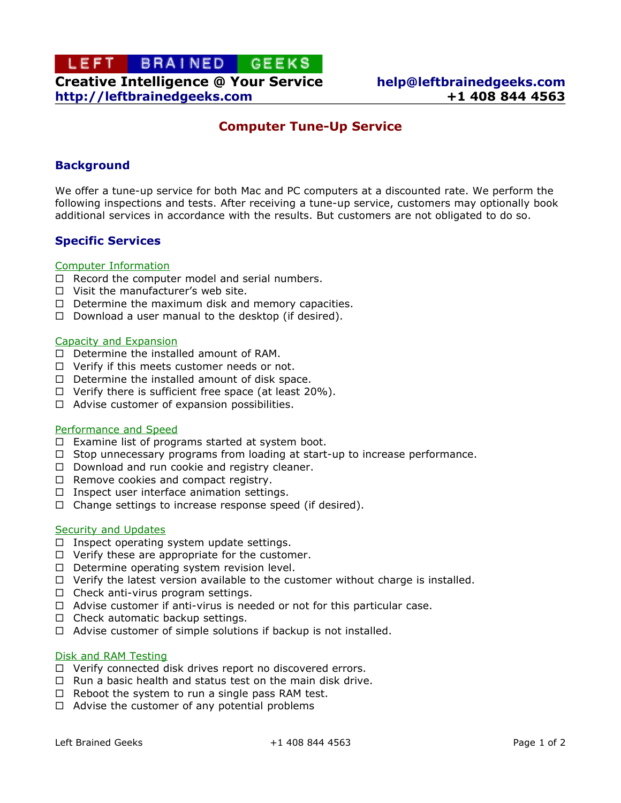# LEFT BRAINED GEEKS **Creative Intelligence @ Your Service [help@leftbrainedgeeks.com](mailto:help@leftbrainedgeeks.com?subject=Computer%20Tune-Up%20Service) http://leftbrainedgeeks.com +1 408 844 4563**

# **Computer Tune-Up Service**

## **Background**

We offer a tune-up service for both Mac and PC computers at a discounted rate. We perform the following inspections and tests. After receiving a tune-up service, customers may optionally book additional services in accordance with the results. But customers are not obligated to do so.

### **Specific Services**

#### Computer Information

- $\Box$  Record the computer model and serial numbers.
- $\Box$  Visit the manufacturer's web site.
- $\Box$  Determine the maximum disk and memory capacities.
- $\Box$  Download a user manual to the desktop (if desired).

#### Capacity and Expansion

- $\Box$  Determine the installed amount of RAM.
- $\Box$  Verify if this meets customer needs or not.
- $\Box$  Determine the installed amount of disk space.
- $\Box$  Verify there is sufficient free space (at least 20%).
- $\Box$  Advise customer of expansion possibilities.

#### Performance and Speed

- $\Box$  Examine list of programs started at system boot.
- $\Box$  Stop unnecessary programs from loading at start-up to increase performance.
- $\Box$  Download and run cookie and registry cleaner.
- $\Box$  Remove cookies and compact registry.
- $\Box$  Inspect user interface animation settings.
- $\Box$  Change settings to increase response speed (if desired).

### Security and Updates

- $\Box$  Inspect operating system update settings.
- $\Box$  Verify these are appropriate for the customer.
- $\Box$  Determine operating system revision level.
- $\Box$  Verify the latest version available to the customer without charge is installed.
- $\Box$  Check anti-virus program settings.
- $\Box$  Advise customer if anti-virus is needed or not for this particular case.
- $\Box$  Check automatic backup settings.
- $\Box$  Advise customer of simple solutions if backup is not installed.

### Disk and RAM Testing

- $\Box$  Verify connected disk drives report no discovered errors.
- $\Box$  Run a basic health and status test on the main disk drive.
- $\Box$  Reboot the system to run a single pass RAM test.
- $\Box$  Advise the customer of any potential problems